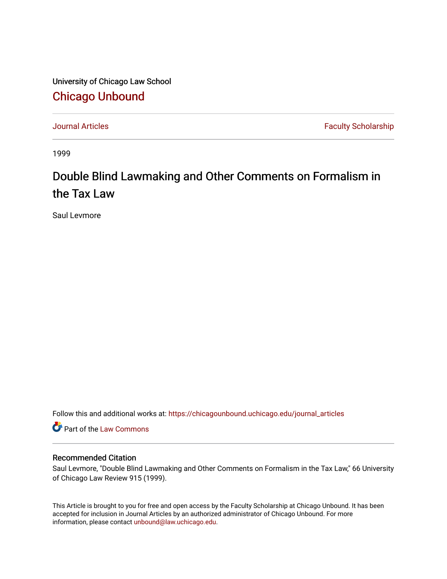University of Chicago Law School [Chicago Unbound](https://chicagounbound.uchicago.edu/)

[Journal Articles](https://chicagounbound.uchicago.edu/journal_articles) **Faculty Scholarship Faculty Scholarship** 

1999

# Double Blind Lawmaking and Other Comments on Formalism in the Tax Law

Saul Levmore

Follow this and additional works at: [https://chicagounbound.uchicago.edu/journal\\_articles](https://chicagounbound.uchicago.edu/journal_articles?utm_source=chicagounbound.uchicago.edu%2Fjournal_articles%2F1617&utm_medium=PDF&utm_campaign=PDFCoverPages) 

Part of the [Law Commons](http://network.bepress.com/hgg/discipline/578?utm_source=chicagounbound.uchicago.edu%2Fjournal_articles%2F1617&utm_medium=PDF&utm_campaign=PDFCoverPages)

### Recommended Citation

Saul Levmore, "Double Blind Lawmaking and Other Comments on Formalism in the Tax Law," 66 University of Chicago Law Review 915 (1999).

This Article is brought to you for free and open access by the Faculty Scholarship at Chicago Unbound. It has been accepted for inclusion in Journal Articles by an authorized administrator of Chicago Unbound. For more information, please contact [unbound@law.uchicago.edu](mailto:unbound@law.uchicago.edu).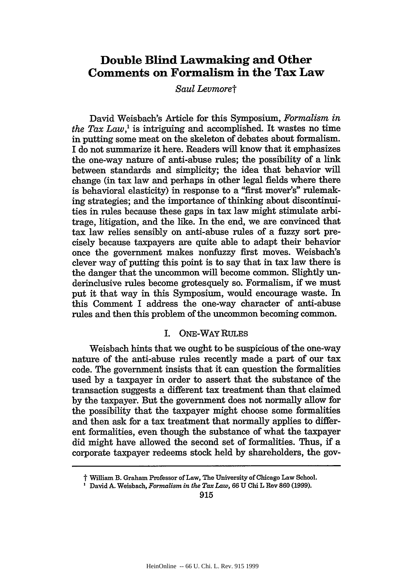## **Double Blind Lawmaking and Other Comments on Formalism in the Tax Law**

*Saul Levmoret*

David Weisbach's Article for this Symposium, *Formalism in the Tax Law,'* is intriguing and accomplished. It wastes no time in putting some meat on the skeleton of debates about formalism. I do not summarize it here. Readers will know that it emphasizes the one-way nature of anti-abuse rules; the possibility of a link between standards and simplicity; the idea that behavior will change (in tax law and perhaps in other legal fields where there is behavioral elasticity) in response to a "first mover's" rulemaking strategies; and the importance of thinking about discontinuities in rules because these gaps in tax law might stimulate arbitrage, litigation, and the like. In the end, we are convinced that tax law relies sensibly on anti-abuse rules of a fuzzy sort precisely because taxpayers are quite able to adapt their behavior once the government makes nonfuzzy first moves. Weisbach's clever way of putting this point is to say that in tax law there is the danger that the uncommon will become common. Slightly underinclusive rules become grotesquely so. Formalism, **if** we must put it that way in this Symposium, would encourage waste. In this Comment I address the one-way character of anti-abuse rules and then this problem of the uncommon becoming common.

#### I. ONE-WAY RULES

Weisbach hints that we ought to be suspicious of the one-way nature of the anti-abuse rules recently made a part of our tax code. The government insists that it can question the formalities used by a taxpayer in order to assert that the substance of the transaction suggests a different tax treatment than that claimed by the taxpayer. But the government does not normally allow for the possibility that the taxpayer might choose some formalities and then ask for a tax treatment that normally applies to different formalities, even though the substance of what the taxpayer did might have allowed the second set of formalities. Thus, if a corporate taxpayer redeems stock held by shareholders, the gov-

t William B. Graham Professor of Law, The University of Chicago Law School.

**<sup>&#</sup>x27;** David **A.** Weisbach, *Formalism in the Tax Law,* 66 U Chi L Rev **860 (1999).**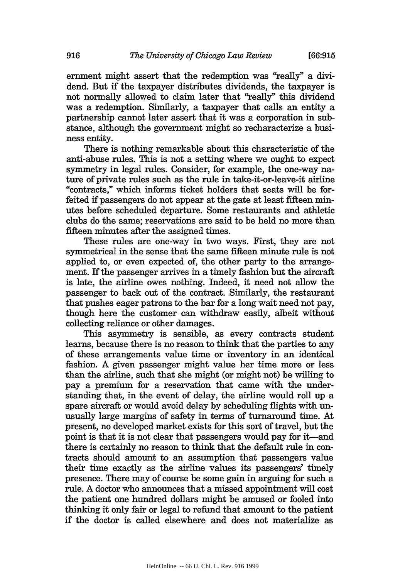ermnent might assert that the redemption was "really" a dividend. But **if** the taxpayer distributes dividends, the taxpayer is not normally allowed to claim later that "really" this dividend was a redemption. Similarly, a taxpayer that calls an entity a partnership cannot later assert that it was a corporation in substance, although the government might so recharacterize a business entity.

There is nothing remarkable about this characteristic of the anti-abuse rules. This is not a setting where we ought to expect symmetry in legal rules. Consider, for example, the one-way nature of private rules such as the rule in take-it-or-leave-it airline "contracts," which informs ticket holders that seats will be forfeited if passengers do not appear at the gate at least fifteen minutes before scheduled departure. Some restaurants and athletic clubs do the same; reservations are said to be held no more than fifteen minutes after the assigned times.

These rules are one-way in two ways. First, they are not symmetrical in the sense that the same fifteen minute rule is not applied to, or even expected of, the other party to the arrangement. If the passenger arrives in a timely fashion but the aircraft is late, the airline owes nothing. Indeed, it need not allow the passenger to back out of the contract. Similarly, the restaurant that pushes eager patrons to the bar for a long wait need not pay, though here the customer can withdraw easily, albeit without collecting reliance or other damages.

This asymmetry is sensible, as every contracts student learns, because there is no reason to think that the parties to any of these arrangements value time or inventory in an identical fashion. A given passenger might value her time more or less than the airline, such that she might (or might not) be willing to pay a premium for a reservation that came with the understanding that, in the event of delay, the airline would roll up a spare aircraft or would avoid delay by scheduling flights with unusually large margins of safety in terms of turnaround time. At present, no developed market exists for this sort of travel, but the point is that it is not clear that passengers would pay for it-and there is certainly no reason to think that the default rule in contracts should amount to an assumption that passengers value their time exactly as the airline values its passengers' timely presence. There may of course be some gain in arguing for such a rule. A doctor who announces that a missed appointment will cost the patient one hundred dollars might be amused or fooled into thinking it only fair or legal to refund that amount to the patient if the doctor is called elsewhere and does not materialize as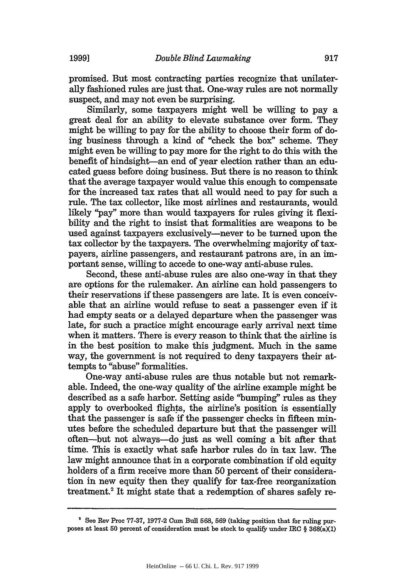**1999]**

promised. But most contracting parties recognize that unilaterally fashioned rules are just that. One-way rules are not normally suspect, and may not even be surprising.

Similarly, some taxpayers might well be willing to pay a great deal for an ability to elevate substance over form. They might be willing to pay for the ability to choose their form of doing business through a kind of "check the box" scheme. They might even be willing to pay more for the right to do this with the benefit of hindsight-an end of year election rather than an educated guess before doing business. But there is no reason to think that the average taxpayer would value this enough to compensate for the increased tax rates that all would need to pay for such a rule. The tax collector, like most airlines and restaurants, would likely "pay" more than would taxpayers for rules giving it flexibility and the right to insist that formalities are weapons to be used against taxpayers exclusively-never to be turned upon the tax collector by the taxpayers. The overwhelming majority of taxpayers, airline passengers, and restaurant patrons are, in an important sense, willing to accede to one-way anti-abuse rules.

Second, these anti-abuse rules are also one-way in that they are options for the rulemaker. An airline can hold passengers to their reservations if these passengers are late. It is even conceivable that an airline would refuse to seat a passenger even if it had empty seats or a delayed departure when the passenger was late, for such a practice might encourage early arrival next time when it matters. There is every reason to think that the airline is in the best position to make this judgment. Much in the same way, the government is not required to deny taxpayers their attempts to "abuse" formalities.

One-way anti-abuse rules are thus notable but not remarkable. Indeed, the one-way quality of the airline example might be described as a safe harbor. Setting aside "bumping" rules as they apply to overbooked flights, the airline's position is essentially that the passenger is safe if the passenger checks in fifteen minutes before the scheduled departure but that the passenger will often-but not always-do just as well coming a bit after that time. This is exactly what safe harbor rules do in tax law. The law might announce that in a corporate combination if old equity holders of a firm receive more than 50 percent of their consideration in new equity then they qualify for tax-free reorganization treatment.' It might state that a redemption of shares safely re-

**<sup>&</sup>quot;** See Rev Proc **77-37, 1977-2** Cum Bull 568, **569** (taking position that for ruling purposes at least **50** percent of consideration must be stock to qualify under **IRC §** 368(aX1)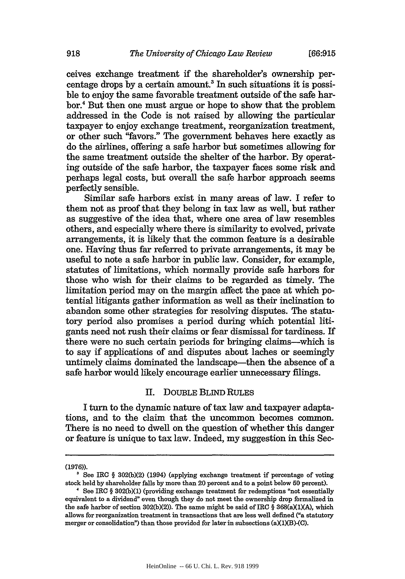**[66:915**

ceives exchange treatment if the shareholder's ownership percentage drops by a certain amount.<sup>3</sup> In such situations it is possible to enjoy the same favorable treatment outside of the safe harbor.4 But then one must argue or hope to show that the problem addressed in the Code is not raised by allowing the particular taxpayer to enjoy exchange treatment, reorganization treatment, or other such 'Tavors." The government behaves here exactly as do the airlines, offering a safe harbor but sometimes allowing for the same treatment outside the shelter of the harbor. By operating outside of the safe harbor, the taxpayer faces some risk and perhaps legal costs, but overall the safe harbor approach seems perfectly sensible.

Similar safe harbors exist in many areas of law. I refer to them not as proof that they belong in tax law as well, but rather as suggestive of the idea that, where one area of law resembles others, and especially where there is similarity to evolved, private arrangements, it is likely that the common feature is a desirable one. Having thus far referred to private arrangements, it may be useful to note a safe harbor in public law. Consider, for example, statutes of limitations, which normally provide safe harbors for those who wish for their claims to be regarded as timely. The limitation period may on the margin affect the pace at which potential litigants gather information as well as their inclination to abandon some other strategies for resolving disputes. The statutory period also promises a period during which potential litigants need not rush their claims or fear dismissal for tardiness. If there were no such certain periods for bringing claims-which is to say if applications of and disputes about laches or seemingly untimely claims dominated the landscape-then the absence of a safe harbor would likely encourage earlier unnecessary filings.

#### II. DOUBLE BLIND RULES

I turn to the dynamic nature of tax law and taxpayer adaptations, and to the claim that the uncommon becomes common. There is no need to dwell on the question of whether this danger or feature is unique to tax law. Indeed, my suggestion in this Sec-

<sup>(1976).&</sup>lt;br>See IRC  $\S$  302(b)(2) (1994) (applying exchange treatment if percentage of voting stock held by shareholder falls **by** more than 20 percent and to a point below 50 percent).

**<sup>&#</sup>x27;** See **IRC** § **302(b)(1)** (providing exchange treatment for redemptions "not essentially equivalent to a dividend" even though they do not meet the ownership drop formalized in the safe harbor of section  $302(b)(2)$ ). The same might be said of IRC §  $368(a)(1)(A)$ , which allows for reorganization treatment in transactions that are less well defined ("a statutory merger or consolidation") than those provided for later in subsections  $(a)(1)(B)-(C)$ .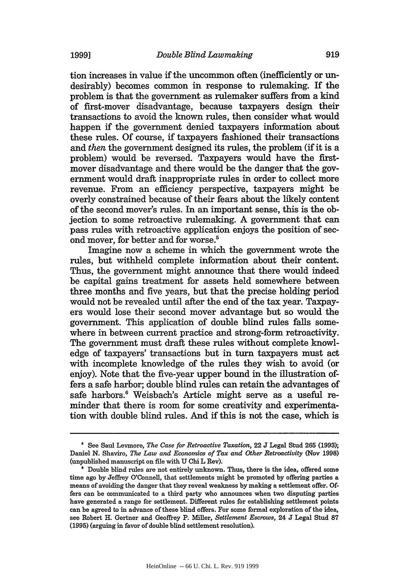tion increases in value if the uncommon often (inefficiently or undesirably) becomes common in response to rulemaking. If the problem is that the government as rulemaker suffers from a kind of first-mover disadvantage, because taxpayers design their transactions to avoid the known rules, then consider what would happen **if** the government denied taxpayers information about these rules. Of course, if taxpayers fashioned their transactions and *then* the government designed its rules, the problem **(if** it is a problem) would be reversed. Taxpayers would have the firstmover disadvantage and there would be the danger that the government would draft inappropriate rules in order to collect more revenue. From an efficiency perspective, taxpayers might be overly constrained because of their fears about the likely content of the second mover's rules. In an important sense, this is the objection to some retroactive rulemaking. A government that can pass rules with retroactive application enjoys the position of second mover, for better and for worse.<sup>5</sup>

Imagine now a scheme in which the government wrote the rules, but withheld complete information about their content. Thus, the government might announce that there would indeed be capital gains treatment for assets held somewhere between three months and five years, but that the precise holding period would not be revealed until after the end of the tax year. Taxpayers would lose their second mover advantage but so would the government. This application of double blind rules falls somewhere in between current practice and strong-form retroactivity. The government must draft these rules without complete knowledge of taxpayers' transactions but in turn taxpayers must act with incomplete knowledge of the rules they wish to avoid (or enjoy). Note that the five-year upper bound in the illustration offers a safe harbor; double blind rules can retain the advantages of safe harbors.<sup>6</sup> Weisbach's Article might serve as a useful reminder that there is room for some creativity and experimentation with double blind rules. And if this is not the case, which is

**<sup>&#</sup>x27;** See Saul Levmore, *The Case for Retroactive Taxation,* 22 **J** Legal Stud **265** (1993); Daniel **N.** Shaviro, *The Law and Economics of Tax and Other Retroactivity* (Nov **1998)** (unpublished manuscript on file with U Chi L Rev).

<sup>&</sup>lt;sup>6</sup> Double blind rules are not entirely unknown. Thus, there is the idea, offered some time ago by Jeffrey O'Connell, that settlements might be promoted **by** offering parties a means of avoiding the danger that they reveal weakness by making a settlement offer. **Of**fers can be communicated to a third party who announces when two disputing parties have generated a range for settlement. Different rules for establishing settlement points can be agreed to in advance of these blind offers. For some formal exploration of the idea, see Robert H. Gertner and Geoffrey P. Miller, *Settlement Escrows,* 24 J Legal Stud **87** (1995) (arguing in favor of double blind settlement resolution).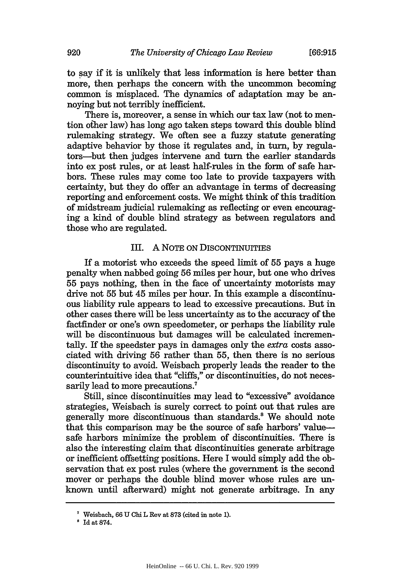**[66:915**

to say if it is unlikely that less information is here better than more, then perhaps the concern with the uncommon becoming common is misplaced. The dynamics of adaptation may be annoying but not terribly inefficient.

There is, moreover, a sense in which our tax law (not to mention other law) has long ago taken steps toward this double blind rulemaking strategy. We often see a fuzzy statute generating adaptive behavior by those it regulates and, in turn, by regulators-but then judges intervene and turn the earlier standards into ex post rules, or at least half-rules in the form of safe harbors. These rules may come too late to provide taxpayers with certainty, but they do offer an advantage in terms of decreasing reporting and enforcement costs. We might think of this tradition of midstream judicial rulemaking as reflecting or even encouraging a kind of double blind strategy as between regulators and those who are regulated.

#### III. A NOTE ON DISCONTINUITIES

If a motorist who exceeds the speed limit of 55 pays a huge penalty when nabbed going 56 miles per hour, but one who drives 55 pays nothing, then in the face of uncertainty motorists may drive not 55 but 45 miles per hour. In this example a discontinuous liability rule appears to lead to excessive precautions. But in other cases there will be less uncertainty as to the accuracy of the factfinder or one's own speedometer, or perhaps the liability rule will be discontinuous but damages will be calculated incrementally. If the speedster pays in damages only the *extra* costs associated with driving 56 rather than 55, then there is no serious discontinuity to avoid. Weisbach properly leads the reader to the counterintuitive idea that "cliffs," or discontinuities, do not necessarily lead to more precautions.'

Still, since discontinuities may lead to "excessive" avoidance strategies, Weisbach is surely correct to point out that rules are generally more discontinuous than standards.<sup>8</sup> We should note that this comparison may be the source of safe harbors' valuesafe harbors minimize the problem of discontinuities. There is also the interesting claim that discontinuities generate arbitrage or inefficient offsetting positions. Here I would simply add the observation that ex post rules (where the government is the second mover or perhaps the double blind mover whose rules are unknown until afterward) might not generate arbitrage. In any

Weisbach, 66 U Chi L Rev at 873 (cited in note 1).

 $J$  Id at 874.